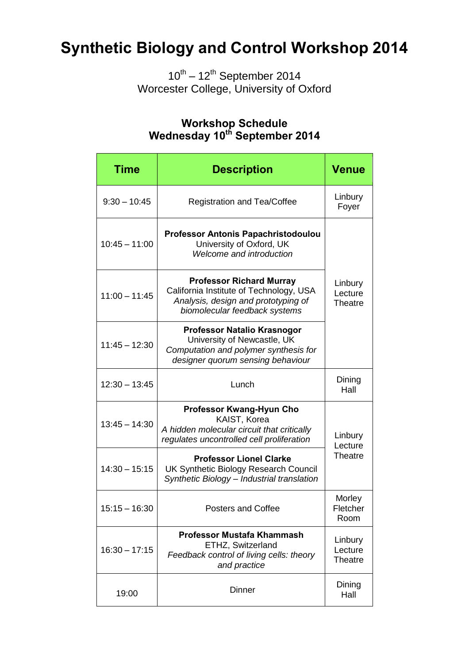## **Synthetic Biology and Control Workshop 2014**

 $10^{th} - 12^{th}$  September 2014 Worcester College, University of Oxford

#### **Time Description Venue** 9:30 – 10:45 Registration and Tea/Coffee Linbury Foyer 10:45 – 11:00 **Professor Antonis Papachristodoulou** University of Oxford, UK *Welcome and introduction* Linbury **Lecture Theatre**  $11:00 - 11:45$ **Professor Richard Murray** California Institute of Technology, USA *Analysis, design and prototyping of biomolecular feedback systems* 11:45 – 12:30 **Professor Natalio Krasnogor** University of Newcastle, UK *Computation and polymer synthesis for designer quorum sensing behaviour*  $12:30 - 13:45$  Lunch Dining Hall 13:45 – 14:30 **Professor Kwang-Hyun Cho** KAIST, Korea *A hidden molecular circuit that critically regulates uncontrolled cell proliferation* Linbury Lecture **Theatre** 14:30 – 15:15 **Professor Lionel Clarke** UK Synthetic Biology Research Council *Synthetic Biology – Industrial translation*  $15:15 - 16:30$  Posters and Coffee **Morley Fletcher** Room  $16:30 - 17:15$ **Professor Mustafa Khammash** ETHZ, Switzerland *Feedback control of living cells: theory and practice* Linbury Lecture **Theatre** 19:00 Dinner Dinner Dining<br>
Hall Hall

### **Workshop Schedule Wednesday 10th September 2014**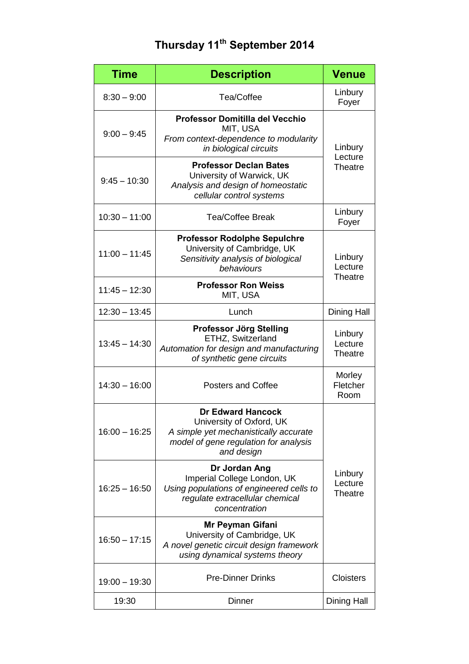### **Thursday 11th September 2014**

| <b>Time</b>     | <b>Description</b>                                                                                                                                   | <b>Venue</b>                         |
|-----------------|------------------------------------------------------------------------------------------------------------------------------------------------------|--------------------------------------|
| $8:30 - 9:00$   | Tea/Coffee                                                                                                                                           | Linbury<br>Foyer                     |
| $9:00 - 9:45$   | <b>Professor Domitilla del Vecchio</b><br>MIT, USA<br>From context-dependence to modularity<br>in biological circuits                                | Linbury<br>Lecture<br>Theatre        |
| $9:45 - 10:30$  | <b>Professor Declan Bates</b><br>University of Warwick, UK<br>Analysis and design of homeostatic<br>cellular control systems                         |                                      |
| $10:30 - 11:00$ | <b>Tea/Coffee Break</b>                                                                                                                              | Linbury<br>Foyer                     |
| $11:00 - 11:45$ | <b>Professor Rodolphe Sepulchre</b><br>University of Cambridge, UK<br>Sensitivity analysis of biological<br>behaviours                               | Linbury<br>Lecture<br><b>Theatre</b> |
| $11:45 - 12:30$ | <b>Professor Ron Weiss</b><br>MIT, USA                                                                                                               |                                      |
| $12:30 - 13:45$ | Lunch                                                                                                                                                | Dining Hall                          |
| $13:45 - 14:30$ | Professor Jörg Stelling<br>ETHZ, Switzerland<br>Automation for design and manufacturing<br>of synthetic gene circuits                                | Linbury<br>Lecture<br>Theatre        |
| $14:30 - 16:00$ | <b>Posters and Coffee</b>                                                                                                                            | Morley<br>Fletcher<br>Room           |
| $16:00 - 16:25$ | <b>Dr Edward Hancock</b><br>University of Oxford, UK<br>A simple yet mechanistically accurate<br>model of gene regulation for analysis<br>and design | Linbury<br>Lecture<br><b>Theatre</b> |
| $16:25 - 16:50$ | Dr Jordan Ang<br>Imperial College London, UK<br>Using populations of engineered cells to<br>regulate extracellular chemical<br>concentration         |                                      |
| $16:50 - 17:15$ | Mr Peyman Gifani<br>University of Cambridge, UK<br>A novel genetic circuit design framework<br>using dynamical systems theory                        |                                      |
| $19:00 - 19:30$ | <b>Pre-Dinner Drinks</b>                                                                                                                             | <b>Cloisters</b>                     |
| 19:30           | <b>Dinner</b>                                                                                                                                        | <b>Dining Hall</b>                   |